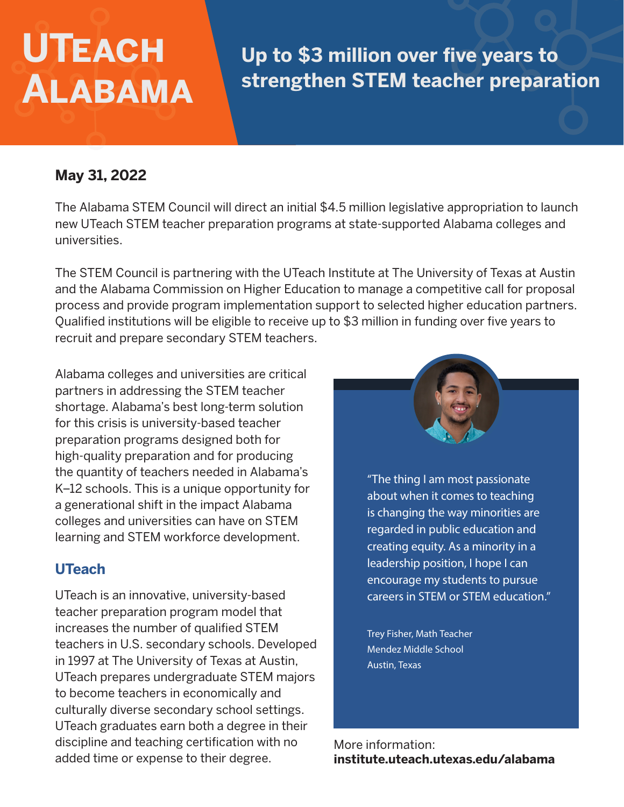# **UTeach Alabama**

## **Up to \$3 million over five years to strengthen STEM teacher preparation**

#### **May 31, 2022**

The Alabama STEM Council will direct an initial \$4.5 million legislative appropriation to launch new UTeach STEM teacher preparation programs at state-supported Alabama colleges and universities.

The STEM Council is partnering with the UTeach Institute at The University of Texas at Austin and the Alabama Commission on Higher Education to manage a competitive call for proposal process and provide program implementation support to selected higher education partners. Qualified institutions will be eligible to receive up to \$3 million in funding over five years to recruit and prepare secondary STEM teachers.

Alabama colleges and universities are critical partners in addressing the STEM teacher shortage. Alabama's best long-term solution for this crisis is university-based teacher preparation programs designed both for high-quality preparation and for producing the quantity of teachers needed in Alabama's K–12 schools. This is a unique opportunity for a generational shift in the impact Alabama colleges and universities can have on STEM learning and STEM workforce development.

#### **UTeach**

UTeach is an innovative, university-based teacher preparation program model that increases the number of qualified STEM teachers in U.S. secondary schools. Developed in 1997 at The University of Texas at Austin, UTeach prepares undergraduate STEM majors to become teachers in economically and culturally diverse secondary school settings. UTeach graduates earn both a degree in their discipline and teaching certification with no added time or expense to their degree.



"The thing I am most passionate about when it comes to teaching is changing the way minorities are regarded in public education and creating equity. As a minority in a leadership position, I hope I can encourage my students to pursue careers in STEM or STEM education."

Trey Fisher, Math Teacher Mendez Middle School Austin, Texas

More information: **institute.uteach.utexas.edu/alabama**